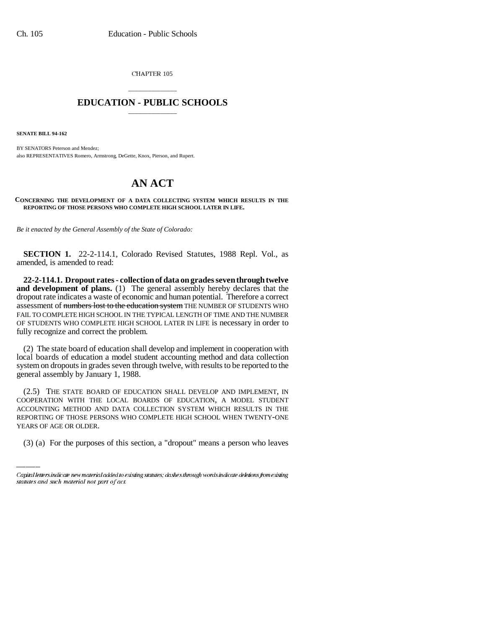CHAPTER 105

## \_\_\_\_\_\_\_\_\_\_\_\_\_\_\_ **EDUCATION - PUBLIC SCHOOLS** \_\_\_\_\_\_\_\_\_\_\_\_\_\_\_

**SENATE BILL 94-162**

BY SENATORS Peterson and Mendez; also REPRESENTATIVES Romero, Armstrong, DeGette, Knox, Pierson, and Rupert.

## **AN ACT**

## **CONCERNING THE DEVELOPMENT OF A DATA COLLECTING SYSTEM WHICH RESULTS IN THE REPORTING OF THOSE PERSONS WHO COMPLETE HIGH SCHOOL LATER IN LIFE.**

*Be it enacted by the General Assembly of the State of Colorado:*

**SECTION 1.** 22-2-114.1, Colorado Revised Statutes, 1988 Repl. Vol., as amended, is amended to read:

**22-2-114.1. Dropout rates - collection of data on grades seven through twelve and development of plans.** (1) The general assembly hereby declares that the dropout rate indicates a waste of economic and human potential. Therefore a correct assessment of numbers lost to the education system THE NUMBER OF STUDENTS WHO FAIL TO COMPLETE HIGH SCHOOL IN THE TYPICAL LENGTH OF TIME AND THE NUMBER OF STUDENTS WHO COMPLETE HIGH SCHOOL LATER IN LIFE is necessary in order to fully recognize and correct the problem.

(2) The state board of education shall develop and implement in cooperation with local boards of education a model student accounting method and data collection system on dropouts in grades seven through twelve, with results to be reported to the general assembly by January 1, 1988.

ACCOUNTING METHOD AND DATA COLLECTION SYSTEM WHICH RESULTS IN THE (2.5) THE STATE BOARD OF EDUCATION SHALL DEVELOP AND IMPLEMENT, IN COOPERATION WITH THE LOCAL BOARDS OF EDUCATION, A MODEL STUDENT REPORTING OF THOSE PERSONS WHO COMPLETE HIGH SCHOOL WHEN TWENTY-ONE YEARS OF AGE OR OLDER.

(3) (a) For the purposes of this section, a "dropout" means a person who leaves

Capital letters indicate new material added to existing statutes; dashes through words indicate deletions from existing statutes and such material not part of act.